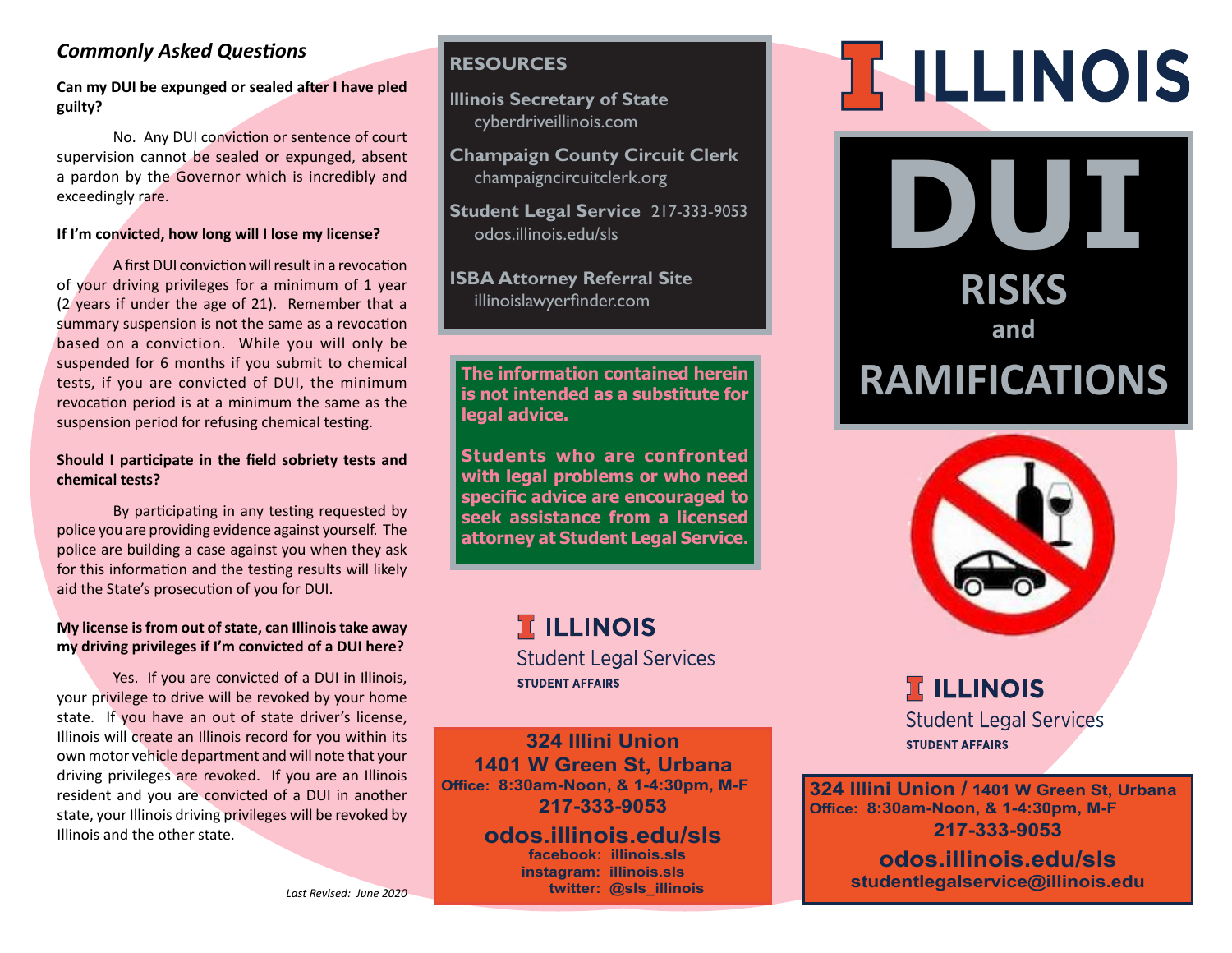#### *Commonly Asked Questions*

**Can my DUI be expunged or sealed after I have pled guilty?**

 No. Any DUI conviction or sentence of court supervision cannot be sealed or expunged, absent a pardon by the Governor which is incredibly and exceedingly rare.

#### **If I'm convicted, how long will I lose my license?**

A first DUI conviction will result in a revocation of your driving privileges for a minimum of 1 year (2 years if under the age of 21). Remember that a summary suspension is not the same as a revocation based on a conviction. While you will only be suspended for 6 months if you submit to chemical tests, if you are convicted of DUI, the minimum revocation period is at a minimum the same as the suspension period for refusing chemical testing.

#### **Should I participate in the field sobriety tests and chemical tests?**

 By participating in any testing requested by police you are providing evidence against yourself. The police are building a case against you when they ask for this information and the testing results will likely aid the State's prosecution of you for DUI.

#### **My license is from out of state, can Illinois take away my driving privileges if I'm convicted of a DUI here?**

 Yes. If you are convicted of a DUI in Illinois, your privilege to drive will be revoked by your home state. If you have an out of state driver's license, Illinois will create an Illinois record for you within its own motor vehicle department and will note that your driving privileges are revoked. If you are an Illinois resident and you are convicted of a DUI in another state, your Illinois driving privileges will be revoked by Illinois and the other state.

#### **RESOURCES**

I**llinois Secretary of State** cyberdriveillinois.com

**Champaign County Circuit Clerk** champaigncircuitclerk.org

**Student Legal Service** 217-333-9053 odos.illinois.edu/sls

**ISBA Attorney Referral Site** illinoislawyerfinder.com

**is not intended as a substitute for legal advice.** 

**Students who are confronted with legal problems or who need specific advice are encouraged to seek assistance from a licensed attorney at Student Legal Service.**

# **I ILLINOIS**

**Student Legal Services STUDENT AFFAIRS** 

**324 Illini Union 1401 W Green St, Urbana Office: 8:30am-Noon, & 1-4:30pm, M-F 217-333-9053**

> **odos.illinois.edu/sls facebook: illinois.sls instagram: illinois.sls twitter: @sls\_illinois**

# **IF ILLINOIS**

**DUI RISKS**

**and**

# The information contained herein **RAMIFICATIONS**



# **T ILLINOIS Student Legal Services STUDENT AFFAIRS**

**324 Illini Union / 1401 W Green St, Urbana Office: 8:30am-Noon, & 1-4:30pm, M-F 217-333-9053**

> **odos.illinois.edu/sls studentlegalservice@illinois.edu**

*Last Revised: June 2020*